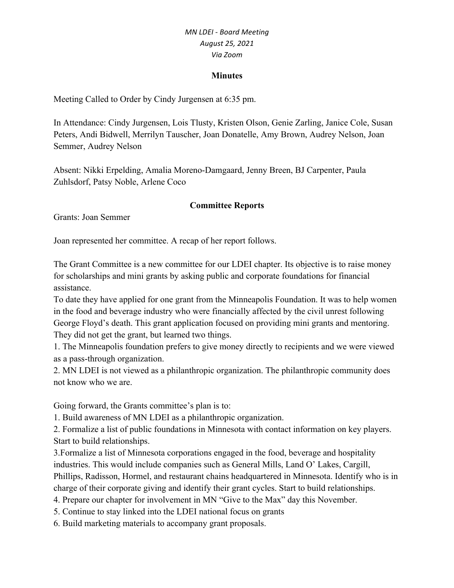#### **Minutes**

Meeting Called to Order by Cindy Jurgensen at 6:35 pm.

In Attendance: Cindy Jurgensen, Lois Tlusty, Kristen Olson, Genie Zarling, Janice Cole, Susan Peters, Andi Bidwell, Merrilyn Tauscher, Joan Donatelle, Amy Brown, Audrey Nelson, Joan Semmer, Audrey Nelson

Absent: Nikki Erpelding, Amalia Moreno-Damgaard, Jenny Breen, BJ Carpenter, Paula Zuhlsdorf, Patsy Noble, Arlene Coco

#### **Committee Reports**

Grants: Joan Semmer

Joan represented her committee. A recap of her report follows.

The Grant Committee is a new committee for our LDEI chapter. Its objective is to raise money for scholarships and mini grants by asking public and corporate foundations for financial assistance.

To date they have applied for one grant from the Minneapolis Foundation. It was to help women in the food and beverage industry who were financially affected by the civil unrest following George Floyd's death. This grant application focused on providing mini grants and mentoring. They did not get the grant, but learned two things.

1. The Minneapolis foundation prefers to give money directly to recipients and we were viewed as a pass-through organization.

2. MN LDEI is not viewed as a philanthropic organization. The philanthropic community does not know who we are.

Going forward, the Grants committee's plan is to:

1. Build awareness of MN LDEI as a philanthropic organization.

2. Formalize a list of public foundations in Minnesota with contact information on key players. Start to build relationships.

3.Formalize a list of Minnesota corporations engaged in the food, beverage and hospitality industries. This would include companies such as General Mills, Land O' Lakes, Cargill, Phillips, Radisson, Hormel, and restaurant chains headquartered in Minnesota. Identify who is in charge of their corporate giving and identify their grant cycles. Start to build relationships.

4. Prepare our chapter for involvement in MN "Give to the Max" day this November.

5. Continue to stay linked into the LDEI national focus on grants

6. Build marketing materials to accompany grant proposals.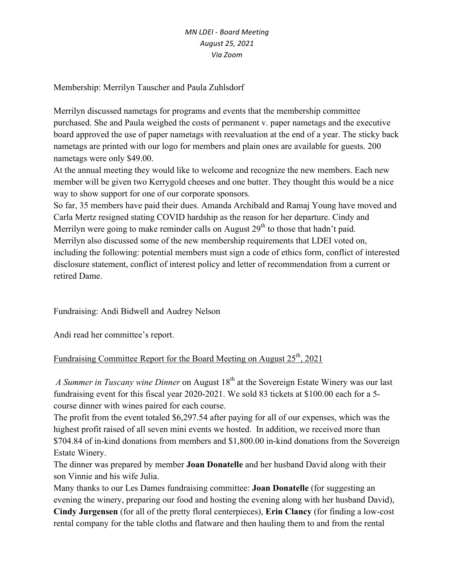Membership: Merrilyn Tauscher and Paula Zuhlsdorf

Merrilyn discussed nametags for programs and events that the membership committee purchased. She and Paula weighed the costs of permanent v. paper nametags and the executive board approved the use of paper nametags with reevaluation at the end of a year. The sticky back nametags are printed with our logo for members and plain ones are available for guests. 200 nametags were only \$49.00.

At the annual meeting they would like to welcome and recognize the new members. Each new member will be given two Kerrygold cheeses and one butter. They thought this would be a nice way to show support for one of our corporate sponsors.

So far, 35 members have paid their dues. Amanda Archibald and Ramaj Young have moved and Carla Mertz resigned stating COVID hardship as the reason for her departure. Cindy and Merrilyn were going to make reminder calls on August  $29<sup>th</sup>$  to those that hadn't paid. Merrilyn also discussed some of the new membership requirements that LDEI voted on, including the following: potential members must sign a code of ethics form, conflict of interested disclosure statement, conflict of interest policy and letter of recommendation from a current or retired Dame.

Fundraising: Andi Bidwell and Audrey Nelson

Andi read her committee's report.

# Fundraising Committee Report for the Board Meeting on August  $25<sup>th</sup>$ , 2021

*A Summer in Tuscany wine Dinner* on August 18<sup>th</sup> at the Sovereign Estate Winery was our last fundraising event for this fiscal year 2020-2021. We sold 83 tickets at \$100.00 each for a 5 course dinner with wines paired for each course.

The profit from the event totaled \$6,297.54 after paying for all of our expenses, which was the highest profit raised of all seven mini events we hosted. In addition, we received more than \$704.84 of in-kind donations from members and \$1,800.00 in-kind donations from the Sovereign Estate Winery.

The dinner was prepared by member **Joan Donatelle** and her husband David along with their son Vinnie and his wife Julia.

Many thanks to our Les Dames fundraising committee: **Joan Donatelle** (for suggesting an evening the winery, preparing our food and hosting the evening along with her husband David), **Cindy Jurgensen** (for all of the pretty floral centerpieces), **Erin Clancy** (for finding a low-cost rental company for the table cloths and flatware and then hauling them to and from the rental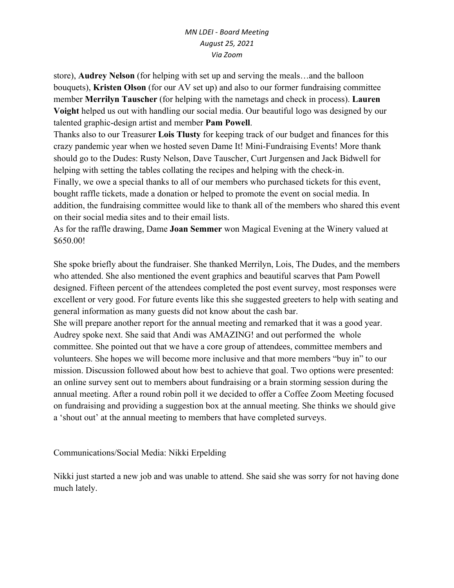store), **Audrey Nelson** (for helping with set up and serving the meals…and the balloon bouquets), **Kristen Olson** (for our AV set up) and also to our former fundraising committee member **Merrilyn Tauscher** (for helping with the nametags and check in process). **Lauren Voight** helped us out with handling our social media. Our beautiful logo was designed by our talented graphic-design artist and member **Pam Powell**.

Thanks also to our Treasurer **Lois Tlusty** for keeping track of our budget and finances for this crazy pandemic year when we hosted seven Dame It! Mini-Fundraising Events! More thank should go to the Dudes: Rusty Nelson, Dave Tauscher, Curt Jurgensen and Jack Bidwell for helping with setting the tables collating the recipes and helping with the check-in. Finally, we owe a special thanks to all of our members who purchased tickets for this event, bought raffle tickets, made a donation or helped to promote the event on social media. In addition, the fundraising committee would like to thank all of the members who shared this event on their social media sites and to their email lists.

As for the raffle drawing, Dame **Joan Semmer** won Magical Evening at the Winery valued at \$650.00!

She spoke briefly about the fundraiser. She thanked Merrilyn, Lois, The Dudes, and the members who attended. She also mentioned the event graphics and beautiful scarves that Pam Powell designed. Fifteen percent of the attendees completed the post event survey, most responses were excellent or very good. For future events like this she suggested greeters to help with seating and general information as many guests did not know about the cash bar.

She will prepare another report for the annual meeting and remarked that it was a good year. Audrey spoke next. She said that Andi was AMAZING! and out performed the whole committee. She pointed out that we have a core group of attendees, committee members and volunteers. She hopes we will become more inclusive and that more members "buy in" to our mission. Discussion followed about how best to achieve that goal. Two options were presented: an online survey sent out to members about fundraising or a brain storming session during the annual meeting. After a round robin poll it we decided to offer a Coffee Zoom Meeting focused on fundraising and providing a suggestion box at the annual meeting. She thinks we should give a 'shout out' at the annual meeting to members that have completed surveys.

# Communications/Social Media: Nikki Erpelding

Nikki just started a new job and was unable to attend. She said she was sorry for not having done much lately.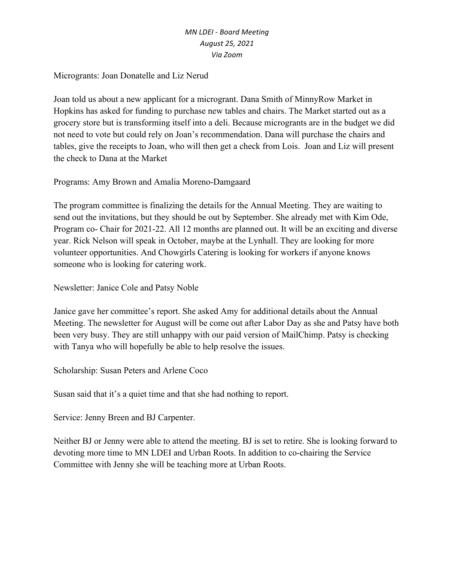Microgrants: Joan Donatelle and Liz Nerud

Joan told us about a new applicant for a microgrant. Dana Smith of MinnyRow Market in Hopkins has asked for funding to purchase new tables and chairs. The Market started out as a grocery store but is transforming itself into a deli. Because microgrants are in the budget we did not need to vote but could rely on Joan's recommendation. Dana will purchase the chairs and tables, give the receipts to Joan, who will then get a check from Lois. Joan and Liz will present the check to Dana at the Market

Programs: Amy Brown and Amalia Moreno-Damgaard

The program committee is finalizing the details for the Annual Meeting. They are waiting to send out the invitations, but they should be out by September. She already met with Kim Ode, Program co- Chair for 2021-22. All 12 months are planned out. It will be an exciting and diverse year. Rick Nelson will speak in October, maybe at the Lynhall. They are looking for more volunteer opportunities. And Chowgirls Catering is looking for workers if anyone knows someone who is looking for catering work.

Newsletter: Janice Cole and Patsy Noble

Janice gave her committee's report. She asked Amy for additional details about the Annual Meeting. The newsletter for August will be come out after Labor Day as she and Patsy have both been very busy. They are still unhappy with our paid version of MailChimp. Patsy is checking with Tanya who will hopefully be able to help resolve the issues.

Scholarship: Susan Peters and Arlene Coco

Susan said that it's a quiet time and that she had nothing to report.

Service: Jenny Breen and BJ Carpenter.

Neither BJ or Jenny were able to attend the meeting. BJ is set to retire. She is looking forward to devoting more time to MN LDEI and Urban Roots. In addition to co-chairing the Service Committee with Jenny she will be teaching more at Urban Roots.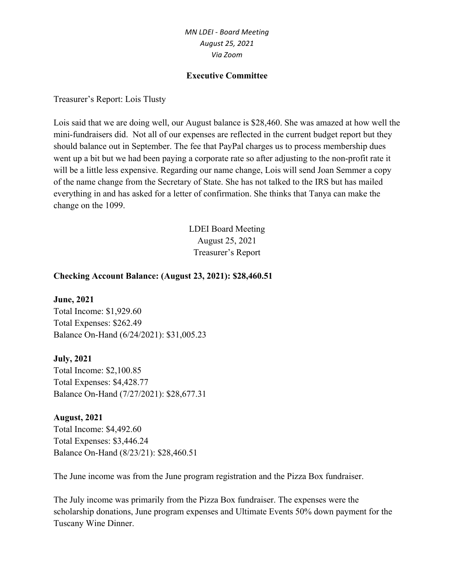#### **Executive Committee**

Treasurer's Report: Lois Tlusty

Lois said that we are doing well, our August balance is \$28,460. She was amazed at how well the mini-fundraisers did. Not all of our expenses are reflected in the current budget report but they should balance out in September. The fee that PayPal charges us to process membership dues went up a bit but we had been paying a corporate rate so after adjusting to the non-profit rate it will be a little less expensive. Regarding our name change, Lois will send Joan Semmer a copy of the name change from the Secretary of State. She has not talked to the IRS but has mailed everything in and has asked for a letter of confirmation. She thinks that Tanya can make the change on the 1099.

> LDEI Board Meeting August 25, 2021 Treasurer's Report

#### **Checking Account Balance: (August 23, 2021): \$28,460.51**

**June, 2021** Total Income: \$1,929.60 Total Expenses: \$262.49 Balance On-Hand (6/24/2021): \$31,005.23

**July, 2021** Total Income: \$2,100.85 Total Expenses: \$4,428.77 Balance On-Hand (7/27/2021): \$28,677.31

**August, 2021** Total Income: \$4,492.60 Total Expenses: \$3,446.24 Balance On-Hand (8/23/21): \$28,460.51

The June income was from the June program registration and the Pizza Box fundraiser.

The July income was primarily from the Pizza Box fundraiser. The expenses were the scholarship donations, June program expenses and Ultimate Events 50% down payment for the Tuscany Wine Dinner.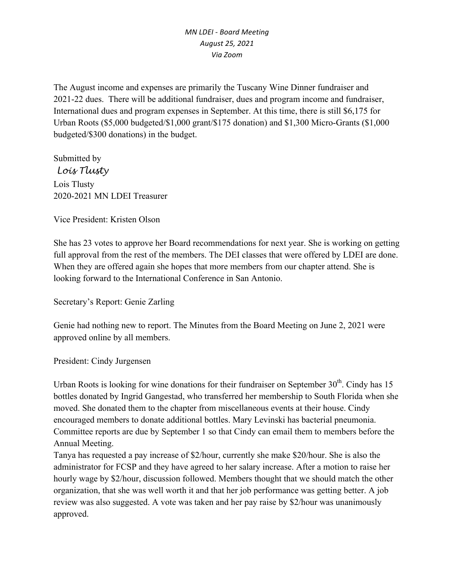The August income and expenses are primarily the Tuscany Wine Dinner fundraiser and 2021-22 dues. There will be additional fundraiser, dues and program income and fundraiser, International dues and program expenses in September. At this time, there is still \$6,175 for Urban Roots (\$5,000 budgeted/\$1,000 grant/\$175 donation) and \$1,300 Micro-Grants (\$1,000 budgeted/\$300 donations) in the budget.

Submitted by *Lois Tlusty* Lois Tlusty 2020-2021 MN LDEI Treasurer

Vice President: Kristen Olson

She has 23 votes to approve her Board recommendations for next year. She is working on getting full approval from the rest of the members. The DEI classes that were offered by LDEI are done. When they are offered again she hopes that more members from our chapter attend. She is looking forward to the International Conference in San Antonio.

Secretary's Report: Genie Zarling

Genie had nothing new to report. The Minutes from the Board Meeting on June 2, 2021 were approved online by all members.

President: Cindy Jurgensen

Urban Roots is looking for wine donations for their fundraiser on September  $30<sup>th</sup>$ . Cindy has 15 bottles donated by Ingrid Gangestad, who transferred her membership to South Florida when she moved. She donated them to the chapter from miscellaneous events at their house. Cindy encouraged members to donate additional bottles. Mary Levinski has bacterial pneumonia. Committee reports are due by September 1 so that Cindy can email them to members before the Annual Meeting.

Tanya has requested a pay increase of \$2/hour, currently she make \$20/hour. She is also the administrator for FCSP and they have agreed to her salary increase. After a motion to raise her hourly wage by \$2/hour, discussion followed. Members thought that we should match the other organization, that she was well worth it and that her job performance was getting better. A job review was also suggested. A vote was taken and her pay raise by \$2/hour was unanimously approved.